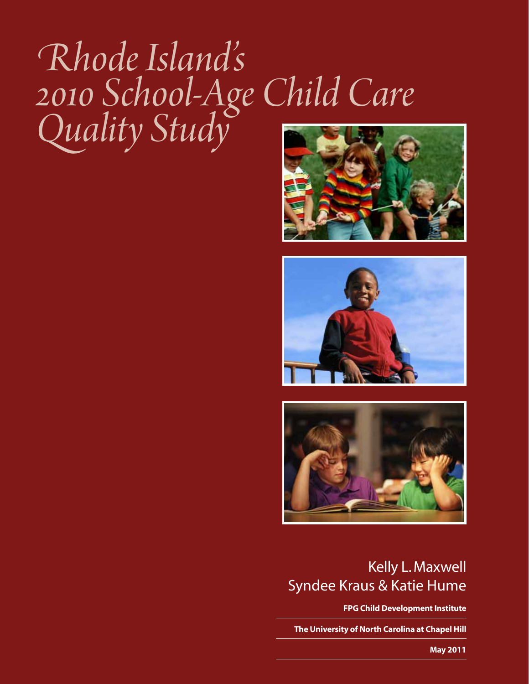# *Rhode Island's 2010 School-Age Child Care Quality Study*







### Kelly L. Maxwell Syndee Kraus & Katie Hume

**FPG Child Development Institute**

*Rhode Island's 2010 School-Age Child Care Quality Study | Maxwell, Kraus & Hume* **The University of North Carolina at Chapel Hill**

**May 2011**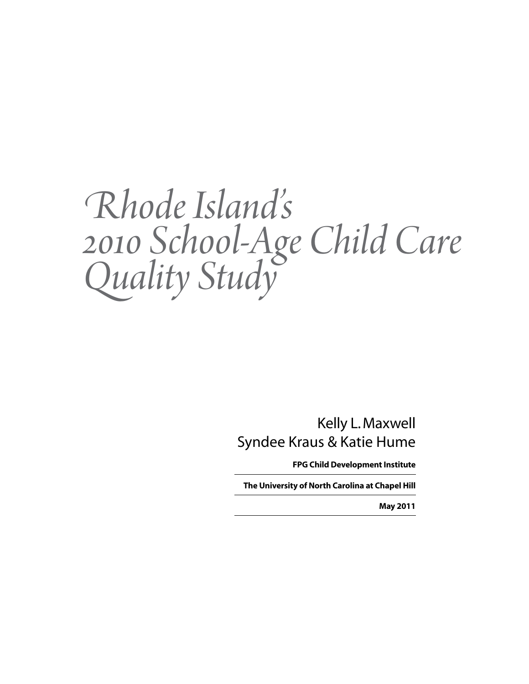# *Rhode Island's 2010 School-Age Child Care Quality Study*

Kelly L. Maxwell Syndee Kraus & Katie Hume

**FPG Child Development Institute**

**The University of North Carolina at Chapel Hill**

**May 2011**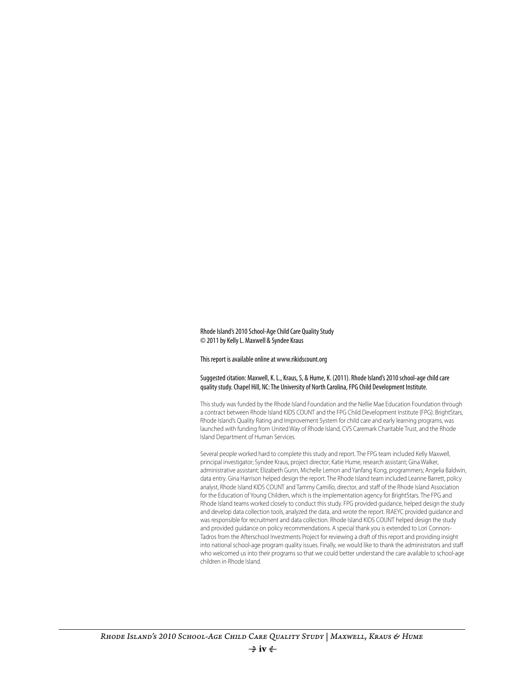Rhode Island's 2010 School-Age Child Care Quality Study © 2011 by Kelly L. Maxwell & Syndee Kraus

This report is available online at www.rikidscount.org

#### Suggested citation: Maxwell, K. L., Kraus, S, & Hume, K. (2011). Rhode Island's 2010 school-age child care quality study. Chapel Hill, NC: The University of North Carolina, FPG Child Development Institute.

This study was funded by the Rhode Island Foundation and the Nellie Mae Education Foundation through a contract between Rhode Island KIDS COUNT and the FPG Child Development Institute (FPG). BrightStars, Rhode Island's Quality Rating and Improvement System for child care and early learning programs, was launched with funding from United Way of Rhode Island, CVS Caremark Charitable Trust, and the Rhode Island Department of Human Services.

Several people worked hard to complete this study and report. The FPG team included Kelly Maxwell, principal investigator; Syndee Kraus, project director; Katie Hume, research assistant; Gina Walker, administrative assistant; Elizabeth Gunn, Michelle Lemon and Yanfang Kong, programmers; Angelia Baldwin, data entry. Gina Harrison helped design the report. The Rhode Island team included Leanne Barrett, policy analyst, Rhode Island KIDS COUNT and Tammy Camillo, director, and staff of the Rhode Island Association for the Education of Young Children, which is the implementation agency for BrightStars. The FPG and Rhode Island teams worked closely to conduct this study. FPG provided guidance, helped design the study and develop data collection tools, analyzed the data, and wrote the report. RIAEYC provided guidance and was responsible for recruitment and data collection. Rhode Island KIDS COUNT helped design the study and provided guidance on policy recommendations. A special thank you is extended to Lori Connors-Tadros from the Afterschool Investments Project for reviewing a draft of this report and providing insight into national school-age program quality issues. Finally, we would like to thank the administrators and staff who welcomed us into their programs so that we could better understand the care available to school-age children in Rhode Island.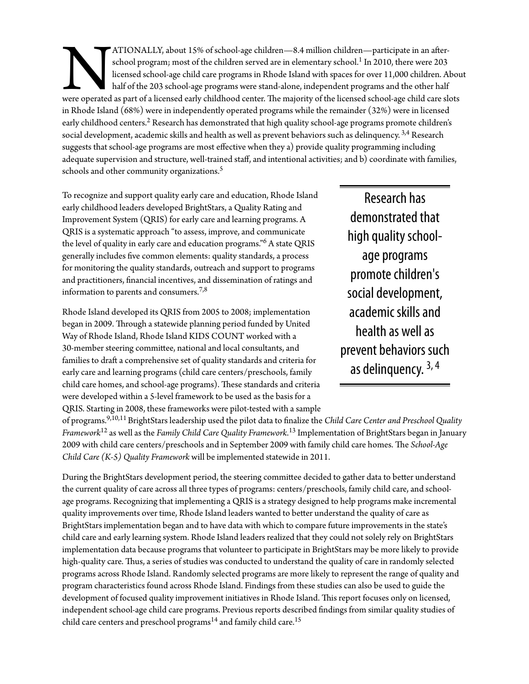ATIONALLY, about 15% of school-age children—8.4 million children—participate in an after-<br>school program; most of the children served are in elementary school.<sup>1</sup> In 2010, there were 203<br>licensed school-age child care prog school program; most of the children served are in elementary school.<sup>1</sup> In 2010, there were 203 licensed school-age child care programs in Rhode Island with spaces for over 11,000 children. About half of the 203 school-age programs were stand-alone, independent programs and the other half were operated as part of a licensed early childhood center. The majority of the licensed school-age child care slots in Rhode Island (68%) were in independently operated programs while the remainder (32%) were in licensed early childhood centers.<sup>2</sup> Research has demonstrated that high quality school-age programs promote children's social development, academic skills and health as well as prevent behaviors such as delinquency. <sup>3,4</sup> Research suggests that school-age programs are most effective when they a) provide quality programming including adequate supervision and structure, well-trained staff, and intentional activities; and b) coordinate with families, schools and other community organizations.<sup>5</sup>

To recognize and support quality early care and education, Rhode Island early childhood leaders developed BrightStars, a Quality Rating and Improvement System (QRIS) for early care and learning programs. A QRIS is a systematic approach "to assess, improve, and communicate the level of quality in early care and education programs."6 A state QRIS generally includes five common elements: quality standards, a process for monitoring the quality standards, outreach and support to programs and practitioners, financial incentives, and dissemination of ratings and information to parents and consumers.<sup>7,8</sup>

Rhode Island developed its QRIS from 2005 to 2008; implementation began in 2009. Through a statewide planning period funded by United Way of Rhode Island, Rhode Island KIDS COUNT worked with a 30-member steering committee, national and local consultants, and families to draft a comprehensive set of quality standards and criteria for early care and learning programs (child care centers/preschools, family child care homes, and school-age programs). These standards and criteria were developed within a 5-level framework to be used as the basis for a QRIS. Starting in 2008, these frameworks were pilot-tested with a sample

Research has demonstrated that high quality schoolage programs promote children's social development, academic skills and health as well as prevent behaviors such as delinquency. 3, 4

of programs.9,10,11 BrightStars leadership used the pilot data to finalize the *Child Care Center and Preschool Quality Framework*12 as well as the *Family Child Care Quality Framework.*<sup>13</sup> Implementation of BrightStars began in January 2009 with child care centers/preschools and in September 2009 with family child care homes. The *School-Age Child Care (K-5) Quality Framework* will be implemented statewide in 2011.

During the BrightStars development period, the steering committee decided to gather data to better understand the current quality of care across all three types of programs: centers/preschools, family child care, and schoolage programs. Recognizing that implementing a QRIS is a strategy designed to help programs make incremental quality improvements over time, Rhode Island leaders wanted to better understand the quality of care as BrightStars implementation began and to have data with which to compare future improvements in the state's child care and early learning system. Rhode Island leaders realized that they could not solely rely on BrightStars implementation data because programs that volunteer to participate in BrightStars may be more likely to provide high-quality care. Thus, a series of studies was conducted to understand the quality of care in randomly selected programs across Rhode Island. Randomly selected programs are more likely to represent the range of quality and program characteristics found across Rhode Island. Findings from these studies can also be used to guide the development of focused quality improvement initiatives in Rhode Island. This report focuses only on licensed, independent school-age child care programs. Previous reports described findings from similar quality studies of child care centers and preschool programs<sup>14</sup> and family child care.<sup>15</sup>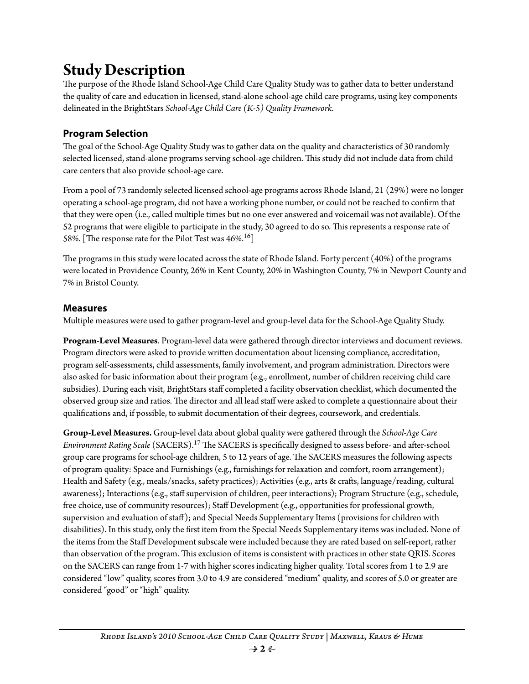## **Study Description**

The purpose of the Rhode Island School-Age Child Care Quality Study was to gather data to better understand the quality of care and education in licensed, stand-alone school-age child care programs, using key components delineated in the BrightStars *School-Age Child Care (K-5) Quality Framework*.

### **Program Selection**

The goal of the School-Age Quality Study was to gather data on the quality and characteristics of 30 randomly selected licensed, stand-alone programs serving school-age children. This study did not include data from child care centers that also provide school-age care.

From a pool of 73 randomly selected licensed school-age programs across Rhode Island, 21 (29%) were no longer operating a school-age program, did not have a working phone number, or could not be reached to confirm that that they were open (i.e., called multiple times but no one ever answered and voicemail was not available). Of the 52 programs that were eligible to participate in the study, 30 agreed to do so. This represents a response rate of 58%. The response rate for the Pilot Test was  $46\%$ <sup>16</sup>]

The programs in this study were located across the state of Rhode Island. Forty percent (40%) of the programs were located in Providence County, 26% in Kent County, 20% in Washington County, 7% in Newport County and 7% in Bristol County.

#### **Measures**

Multiple measures were used to gather program-level and group-level data for the School-Age Quality Study.

**Program-Level Measures**. Program-level data were gathered through director interviews and document reviews. Program directors were asked to provide written documentation about licensing compliance, accreditation, program self-assessments, child assessments, family involvement, and program administration. Directors were also asked for basic information about their program (e.g., enrollment, number of children receiving child care subsidies). During each visit, BrightStars staff completed a facility observation checklist, which documented the observed group size and ratios. The director and all lead staff were asked to complete a questionnaire about their qualifications and, if possible, to submit documentation of their degrees, coursework, and credentials.

**Group-Level Measures.** Group-level data about global quality were gathered through the *School-Age Care Environment Rating Scale* (SACERS).17 The SACERS is specifically designed to assess before- and after-school group care programs for school-age children, 5 to 12 years of age. The SACERS measures the following aspects of program quality: Space and Furnishings (e.g., furnishings for relaxation and comfort, room arrangement); Health and Safety (e.g., meals/snacks, safety practices); Activities (e.g., arts & crafts, language/reading, cultural awareness); Interactions (e.g., staff supervision of children, peer interactions); Program Structure (e.g., schedule, free choice, use of community resources); Staff Development (e.g., opportunities for professional growth, supervision and evaluation of staff); and Special Needs Supplementary Items (provisions for children with disabilities). In this study, only the first item from the Special Needs Supplementary items was included. None of the items from the Staff Development subscale were included because they are rated based on self-report, rather than observation of the program. This exclusion of items is consistent with practices in other state QRIS. Scores on the SACERS can range from 1-7 with higher scores indicating higher quality. Total scores from 1 to 2.9 are considered "low" quality, scores from 3.0 to 4.9 are considered "medium" quality, and scores of 5.0 or greater are considered "good" or "high" quality.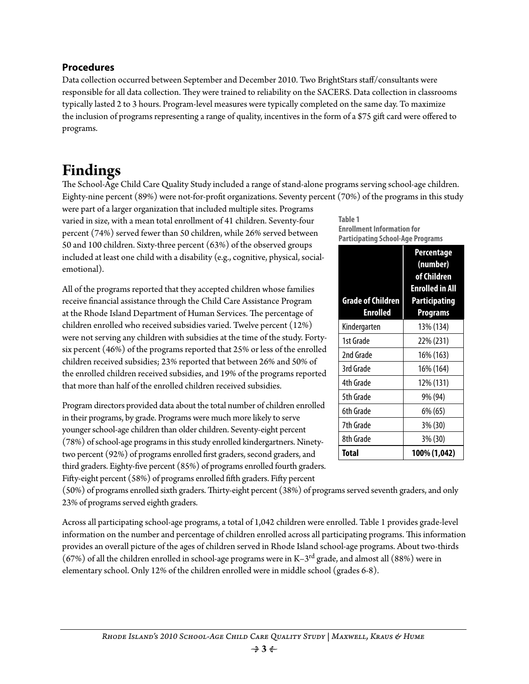#### **Procedures**

Data collection occurred between September and December 2010. Two BrightStars staff/consultants were responsible for all data collection. They were trained to reliability on the SACERS. Data collection in classrooms typically lasted 2 to 3 hours. Program-level measures were typically completed on the same day. To maximize the inclusion of programs representing a range of quality, incentives in the form of a \$75 gift card were offered to programs.

## **Findings**

The School-Age Child Care Quality Study included a range of stand-alone programs serving school-age children. Eighty-nine percent (89%) were not-for-profit organizations. Seventy percent (70%) of the programs in this study

were part of a larger organization that included multiple sites. Programs varied in size, with a mean total enrollment of 41 children. Seventy-four percent (74%) served fewer than 50 children, while 26% served between 50 and 100 children. Sixty-three percent (63%) of the observed groups included at least one child with a disability (e.g., cognitive, physical, socialemotional).

All of the programs reported that they accepted children whose families receive financial assistance through the Child Care Assistance Program at the Rhode Island Department of Human Services. The percentage of children enrolled who received subsidies varied. Twelve percent (12%) were not serving any children with subsidies at the time of the study. Fortysix percent (46%) of the programs reported that 25% or less of the enrolled children received subsidies; 23% reported that between 26% and 50% of the enrolled children received subsidies, and 19% of the programs reported that more than half of the enrolled children received subsidies.

Program directors provided data about the total number of children enrolled in their programs, by grade. Programs were much more likely to serve younger school-age children than older children. Seventy-eight percent (78%) of school-age programs in this study enrolled kindergartners. Ninetytwo percent (92%) of programs enrolled first graders, second graders, and third graders. Eighty-five percent (85%) of programs enrolled fourth graders. Fifty-eight percent (58%) of programs enrolled fifth graders. Fifty percent

**Table 1 Enrollment Information for Participating School-Age Programs**

| <b>Grade of Children</b><br><b>Enrolled</b> | <b>Percentage</b><br>(number)<br>of Children<br><b>Enrolled in All</b><br><b>Participating</b><br><b>Programs</b> |
|---------------------------------------------|-------------------------------------------------------------------------------------------------------------------|
| Kindergarten                                | 13% (134)                                                                                                         |
| 1st Grade                                   | 22% (231)                                                                                                         |
| 2nd Grade                                   | 16% (163)                                                                                                         |
| 3rd Grade                                   | 16% (164)                                                                                                         |
| 4th Grade                                   | 12% (131)                                                                                                         |
| 5th Grade                                   | 9% (94)                                                                                                           |
| 6th Grade                                   | 6% (65)                                                                                                           |
| 7th Grade                                   | $3\%$ (30)                                                                                                        |
| 8th Grade                                   | 3% (30)                                                                                                           |
| <b>Total</b>                                | 100% (1,042)                                                                                                      |

(50%) of programs enrolled sixth graders. Thirty-eight percent (38%) of programs served seventh graders, and only 23% of programs served eighth graders.

Across all participating school-age programs, a total of 1,042 children were enrolled. Table 1 provides grade-level information on the number and percentage of children enrolled across all participating programs. This information provides an overall picture of the ages of children served in Rhode Island school-age programs. About two-thirds (67%) of all the children enrolled in school-age programs were in K-3<sup>rd</sup> grade, and almost all (88%) were in elementary school. Only 12% of the children enrolled were in middle school (grades 6-8).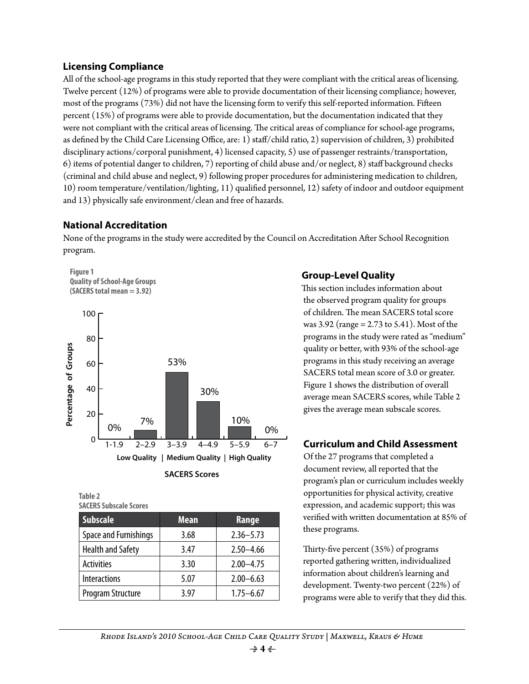#### **Licensing Compliance**

All of the school-age programs in this study reported that they were compliant with the critical areas of licensing. Twelve percent (12%) of programs were able to provide documentation of their licensing compliance; however, most of the programs (73%) did not have the licensing form to verify this self-reported information. Fifteen percent (15%) of programs were able to provide documentation, but the documentation indicated that they were not compliant with the critical areas of licensing. The critical areas of compliance for school-age programs, as defined by the Child Care Licensing Office, are: 1) staff/child ratio, 2) supervision of children, 3) prohibited disciplinary actions/corporal punishment, 4) licensed capacity, 5) use of passenger restraints/transportation, 6) items of potential danger to children, 7) reporting of child abuse and/or neglect, 8) staff background checks (criminal and child abuse and neglect, 9) following proper procedures for administering medication to children, 10) room temperature/ventilation/lighting, 11) qualified personnel, 12) safety of indoor and outdoor equipment and 13) physically safe environment/clean and free of hazards.

#### **National Accreditation**

None of the programs in the study were accredited by the Council on Accreditation After School Recognition program.



| Table 2 |                               |  |
|---------|-------------------------------|--|
|         | <b>SACERS Subscale Scores</b> |  |

| <b>Subscale</b>          | <b>Mean</b> | Range         |
|--------------------------|-------------|---------------|
| Space and Furnishings    | 3.68        | $2.36 - 5.73$ |
| <b>Health and Safety</b> | 3.47        | $2.50 - 4.66$ |
| <b>Activities</b>        | 3.30        | $2.00 - 4.75$ |
| <b>Interactions</b>      | 5.07        | $2.00 - 6.63$ |
| Program Structure        | 3.97        | $1.75 - 6.67$ |

#### **Group-Level Quality**

 This section includes information about the observed program quality for groups of children. The mean SACERS total score was 3.92 (range = 2.73 to 5.41). Most of the programs in the study were rated as "medium" quality or better, with 93% of the school-age programs in this study receiving an average SACERS total mean score of 3.0 or greater. Figure 1 shows the distribution of overall average mean SACERS scores, while Table 2 gives the average mean subscale scores.

#### **Curriculum and Child Assessment**

Of the 27 programs that completed a document review, all reported that the program's plan or curriculum includes weekly opportunities for physical activity, creative expression, and academic support; this was verified with written documentation at 85% of these programs.

Thirty-five percent (35%) of programs reported gathering written, individualized information about children's learning and development. Twenty-two percent (22%) of programs were able to verify that they did this.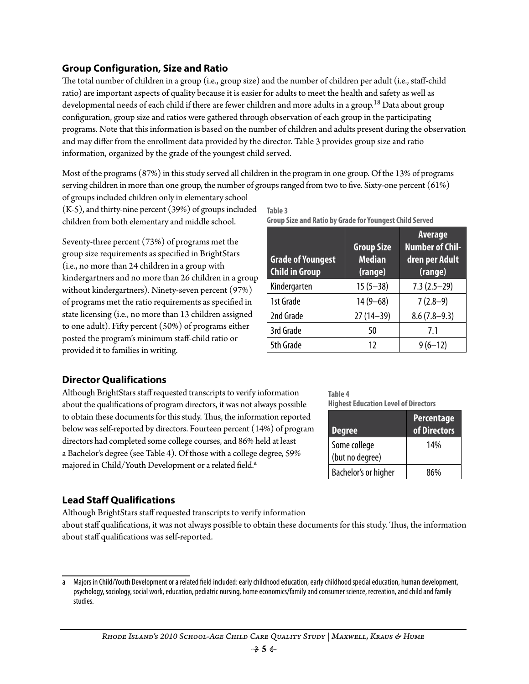#### **Group Configuration, Size and Ratio**

The total number of children in a group (i.e., group size) and the number of children per adult (i.e., staff-child ratio) are important aspects of quality because it is easier for adults to meet the health and safety as well as developmental needs of each child if there are fewer children and more adults in a group.18 Data about group configuration, group size and ratios were gathered through observation of each group in the participating programs. Note that this information is based on the number of children and adults present during the observation and may differ from the enrollment data provided by the director. Table 3 provides group size and ratio information, organized by the grade of the youngest child served.

Most of the programs (87%) in this study served all children in the program in one group. Of the 13% of programs serving children in more than one group, the number of groups ranged from two to five. Sixty-one percent (61%) of groups included children only in elementary school

(K-5), and thirty-nine percent (39%) of groups included children from both elementary and middle school.

Seventy-three percent (73%) of programs met the group size requirements as specified in BrightStars (i.e., no more than 24 children in a group with kindergartners and no more than 26 children in a group without kindergartners). Ninety-seven percent (97%) of programs met the ratio requirements as specified in state licensing (i.e., no more than 13 children assigned to one adult). Fifty percent (50%) of programs either posted the program's minimum staff-child ratio or provided it to families in writing.

| Table 3                                                        |  |  |
|----------------------------------------------------------------|--|--|
| <b>Group Size and Ratio by Grade for Youngest Child Served</b> |  |  |

| <b>Grade of Youngest</b><br><b>Child in Group</b> | <b>Group Size</b><br><b>Median</b><br>(range) | Average<br><b>Number of Chil-</b><br>dren per Adult<br>(range) |
|---------------------------------------------------|-----------------------------------------------|----------------------------------------------------------------|
| Kindergarten                                      | $15(5-38)$                                    | $7.3(2.5-29)$                                                  |
| 1st Grade                                         | $14(9 - 68)$                                  | $7(2.8-9)$                                                     |
| 2nd Grade                                         | $27(14-39)$                                   | $8.6(7.8-9.3)$                                                 |
| 3rd Grade                                         | 50                                            | 7.1                                                            |
| 5th Grade                                         | 12                                            | $9(6-12)$                                                      |

#### **Director Qualifications**

Although BrightStars staff requested transcripts to verify information about the qualifications of program directors, it was not always possible to obtain these documents for this study. Thus, the information reported below was self-reported by directors. Fourteen percent (14%) of program directors had completed some college courses, and 86% held at least a Bachelor's degree (see Table 4). Of those with a college degree, 59% majored in Child/Youth Development or a related field.<sup>a</sup>

**Table 4 Highest Education Level of Directors**

| <b>Degree</b>                   | <b>Percentage</b><br>of Directors |
|---------------------------------|-----------------------------------|
| Some college<br>(but no degree) | 14%                               |
|                                 |                                   |
| Bachelor's or higher            | 86%                               |

#### **Lead Staff Qualifications**

Although BrightStars staff requested transcripts to verify information

about staff qualifications, it was not always possible to obtain these documents for this study. Thus, the information about staff qualifications was self-reported.

a Majors in Child/Youth Development or a related field included: early childhood education, early childhood special education, human development, psychology, sociology, social work, education, pediatric nursing, home economics/family and consumer science, recreation, and child and family studies.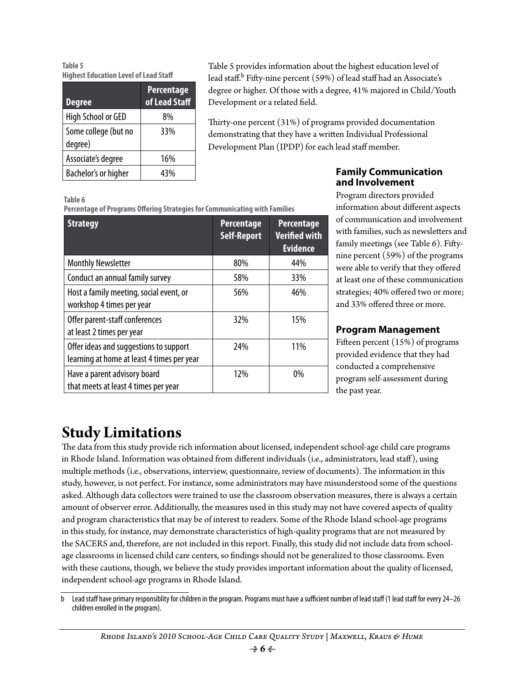**Table 5 Highest Education Level of Lead Staff**

| <b>Degree</b>                   | <b>Percentage</b><br>of Lead Staff |
|---------------------------------|------------------------------------|
| High School or GED              | 8%                                 |
| Some college (but no<br>degree) | 33%                                |
| Associate's degree              | 16%                                |
| Bachelor's or higher            | 43%                                |

Table 5 provides information about the highest education level of lead staff.<sup>b</sup> Fifty-nine percent (59%) of lead staff had an Associate's degree or higher. Of those with a degree, 41% majored in Child/Youth Development or a related field.

Thirty-one percent (31%) of programs provided documentation demonstrating that they have a written Individual Professional Development Plan (IPDP) for each lead staff member.

#### **Table 6**

**Percentage of Programs Offering Strategies for Communicating with Families**

| <b>Strategy</b>                                                                      | Percentage<br><b>Self-Report</b> | Percentage<br><b>Verified with</b><br><b>Evidence</b> |
|--------------------------------------------------------------------------------------|----------------------------------|-------------------------------------------------------|
| <b>Monthly Newsletter</b>                                                            | 80%                              | 44%                                                   |
| Conduct an annual family survey                                                      | 58%                              | 33%                                                   |
| Host a family meeting, social event, or<br>workshop 4 times per year                 | 56%                              | 46%                                                   |
| Offer parent-staff conferences<br>at least 2 times per year                          | 32%                              | 15%                                                   |
| Offer ideas and suggestions to support<br>learning at home at least 4 times per year | 24%                              | 11%                                                   |
| Have a parent advisory board<br>that meets at least 4 times per year                 | 12%                              | $0\%$                                                 |

#### **Family Communication and Involvement**

Program directors provided information about different aspects of communication and involvement with families, such as newsletters and family meetings (see Table 6). Fiftynine percent (59%) of the programs were able to verify that they offered at least one of these communication strategies; 40% offered two or more; and 33% offered three or more.

#### **Program Management**

Fifteen percent (15%) of programs provided evidence that they had conducted a comprehensive program self-assessment during the past year.

## **Study Limitations**

The data from this study provide rich information about licensed, independent school-age child care programs in Rhode Island. Information was obtained from different individuals (i.e., administrators, lead staff), using multiple methods (i.e., observations, interview, questionnaire, review of documents). The information in this study, however, is not perfect. For instance, some administrators may have misunderstood some of the questions asked. Although data collectors were trained to use the classroom observation measures, there is always a certain amount of observer error. Additionally, the measures used in this study may not have covered aspects of quality and program characteristics that may be of interest to readers. Some of the Rhode Island school-age programs in this study, for instance, may demonstrate characteristics of high-quality programs that are not measured by the SACERS and, therefore, are not included in this report. Finally, this study did not include data from schoolage classrooms in licensed child care centers, so findings should not be generalized to those classrooms. Even with these cautions, though, we believe the study provides important information about the quality of licensed, independent school-age programs in Rhode Island.

b Lead staff have primary responsiblity for children in the program. Programs must have a sufficient number of lead staff (1 lead staff for every 24–26 children enrolled in the program).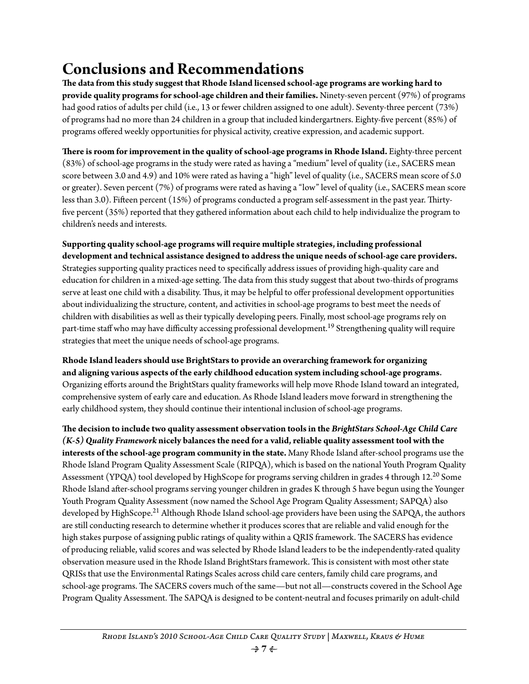## **Conclusions and Recommendations**

**The data from this study suggest that Rhode Island licensed school-age programs are working hard to provide quality programs for school-age children and their families.** Ninety-seven percent (97%) of programs had good ratios of adults per child (i.e., 13 or fewer children assigned to one adult). Seventy-three percent (73%) of programs had no more than 24 children in a group that included kindergartners. Eighty-five percent (85%) of programs offered weekly opportunities for physical activity, creative expression, and academic support.

**There is room for improvement in the quality of school-age programs in Rhode Island.** Eighty-three percent (83%) of school-age programs in the study were rated as having a "medium" level of quality (i.e., SACERS mean score between 3.0 and 4.9) and 10% were rated as having a "high" level of quality (i.e., SACERS mean score of 5.0 or greater). Seven percent (7%) of programs were rated as having a "low" level of quality (i.e., SACERS mean score less than 3.0). Fifteen percent (15%) of programs conducted a program self-assessment in the past year. Thirtyfive percent (35%) reported that they gathered information about each child to help individualize the program to children's needs and interests.

**Supporting quality school-age programs will require multiple strategies, including professional development and technical assistance designed to address the unique needs of school-age care providers.**  Strategies supporting quality practices need to specifically address issues of providing high-quality care and education for children in a mixed-age setting. The data from this study suggest that about two-thirds of programs serve at least one child with a disability. Thus, it may be helpful to offer professional development opportunities about individualizing the structure, content, and activities in school-age programs to best meet the needs of children with disabilities as well as their typically developing peers. Finally, most school-age programs rely on part-time staff who may have difficulty accessing professional development.<sup>19</sup> Strengthening quality will require strategies that meet the unique needs of school-age programs.

**Rhode Island leaders should use BrightStars to provide an overarching framework for organizing and aligning various aspects of the early childhood education system including school-age programs.** Organizing efforts around the BrightStars quality frameworks will help move Rhode Island toward an integrated, comprehensive system of early care and education. As Rhode Island leaders move forward in strengthening the early childhood system, they should continue their intentional inclusion of school-age programs.

**The decision to include two quality assessment observation tools in the** *BrightStars School-Age Child Care (K-5) Quality Framework* **nicely balances the need for a valid, reliable quality assessment tool with the interests of the school-age program community in the state.** Many Rhode Island after-school programs use the Rhode Island Program Quality Assessment Scale (RIPQA), which is based on the national Youth Program Quality Assessment (YPQA) tool developed by HighScope for programs serving children in grades 4 through 12.<sup>20</sup> Some Rhode Island after-school programs serving younger children in grades K through 5 have begun using the Younger Youth Program Quality Assessment (now named the School Age Program Quality Assessment; SAPQA) also developed by HighScope.<sup>21</sup> Although Rhode Island school-age providers have been using the SAPQA, the authors are still conducting research to determine whether it produces scores that are reliable and valid enough for the high stakes purpose of assigning public ratings of quality within a QRIS framework. The SACERS has evidence of producing reliable, valid scores and was selected by Rhode Island leaders to be the independently-rated quality observation measure used in the Rhode Island BrightStars framework. This is consistent with most other state QRISs that use the Environmental Ratings Scales across child care centers, family child care programs, and school-age programs. The SACERS covers much of the same—but not all—constructs covered in the School Age Program Quality Assessment. The SAPQA is designed to be content-neutral and focuses primarily on adult-child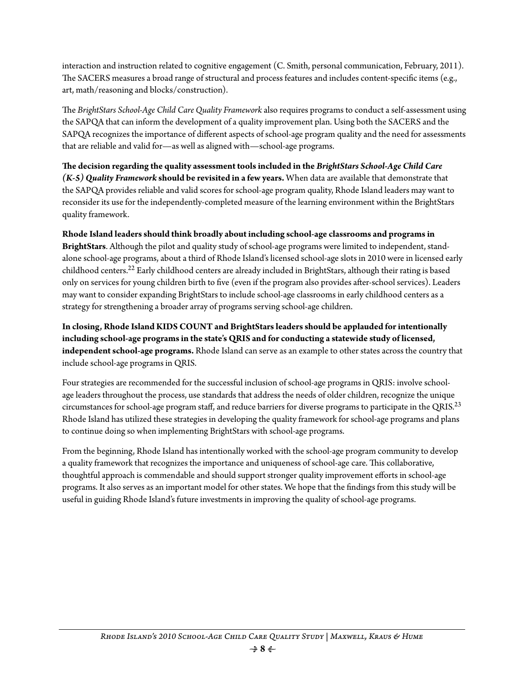interaction and instruction related to cognitive engagement (C. Smith, personal communication, February, 2011). The SACERS measures a broad range of structural and process features and includes content-specific items (e.g., art, math/reasoning and blocks/construction).

The *BrightStars School-Age Child Care Quality Framework* also requires programs to conduct a self-assessment using the SAPQA that can inform the development of a quality improvement plan. Using both the SACERS and the SAPQA recognizes the importance of different aspects of school-age program quality and the need for assessments that are reliable and valid for—as well as aligned with—school-age programs.

**The decision regarding the quality assessment tools included in the** *BrightStars School-Age Child Care (K-5) Quality Framework* **should be revisited in a few years.** When data are available that demonstrate that the SAPQA provides reliable and valid scores for school-age program quality, Rhode Island leaders may want to reconsider its use for the independently-completed measure of the learning environment within the BrightStars quality framework.

**Rhode Island leaders should think broadly about including school-age classrooms and programs in BrightStars**. Although the pilot and quality study of school-age programs were limited to independent, standalone school-age programs, about a third of Rhode Island's licensed school-age slots in 2010 were in licensed early childhood centers.22 Early childhood centers are already included in BrightStars, although their rating is based only on services for young children birth to five (even if the program also provides after-school services). Leaders may want to consider expanding BrightStars to include school-age classrooms in early childhood centers as a strategy for strengthening a broader array of programs serving school-age children.

**In closing, Rhode Island KIDS COUNT and BrightStars leaders should be applauded for intentionally including school-age programs in the state's QRIS and for conducting a statewide study of licensed, independent school-age programs.** Rhode Island can serve as an example to other states across the country that include school-age programs in QRIS.

Four strategies are recommended for the successful inclusion of school-age programs in QRIS: involve schoolage leaders throughout the process, use standards that address the needs of older children, recognize the unique circumstances for school-age program staff, and reduce barriers for diverse programs to participate in the QRIS.<sup>23</sup> Rhode Island has utilized these strategies in developing the quality framework for school-age programs and plans to continue doing so when implementing BrightStars with school-age programs.

From the beginning, Rhode Island has intentionally worked with the school-age program community to develop a quality framework that recognizes the importance and uniqueness of school-age care. This collaborative, thoughtful approach is commendable and should support stronger quality improvement efforts in school-age programs. It also serves as an important model for other states. We hope that the findings from this study will be useful in guiding Rhode Island's future investments in improving the quality of school-age programs.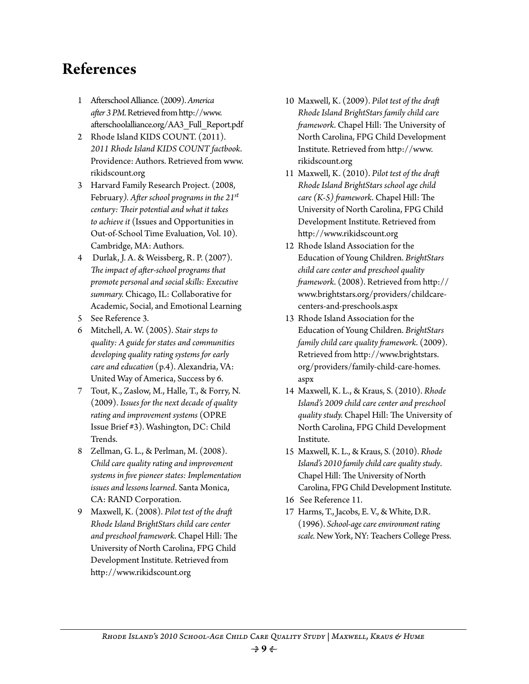## **References**

- 1 Afterschool Alliance. (2009). *America after 3 PM.* Retrieved from http://www. afterschoolalliance.org/AA3\_Full\_Report.pdf
- 2 Rhode Island KIDS COUNT. (2011). *2011 Rhode Island KIDS COUNT factbook*. Providence: Authors. Retrieved from www. rikidscount.org
- 3 Harvard Family Research Project. (2008, February*). After school programs in the 21st century: Their potential and what it takes to achieve it* (Issues and Opportunities in Out-of-School Time Evaluation, Vol. 10)*.*  Cambridge, MA: Authors.
- 4 Durlak, J. A. & Weissberg, R. P. (2007). *The impact of after-school programs that promote personal and social skills: Executive summary.* Chicago, IL: Collaborative for Academic, Social, and Emotional Learning
- 5 See Reference 3.
- 6 Mitchell, A. W. (2005). *Stair steps to quality: A guide for states and communities developing quality rating systems for early care and education* (p.4). Alexandria, VA: United Way of America, Success by 6.
- 7 Tout, K., Zaslow, M., Halle, T., & Forry, N. (2009). *Issues for the next decade of quality rating and improvement systems* (OPRE Issue Brief #3). Washington, DC: Child Trends.
- 8 Zellman, G. L., & Perlman, M. (2008). *Child care quality rating and improvement systems in five pioneer states: Implementation issues and lessons learned*. Santa Monica, CA: RAND Corporation.
- 9 Maxwell, K. (2008). *Pilot test of the draft Rhode Island BrightStars child care center and preschool framework*. Chapel Hill: The University of North Carolina, FPG Child Development Institute. Retrieved from http://www.rikidscount.org
- 10 Maxwell, K. (2009). *Pilot test of the draft Rhode Island BrightStars family child care framework*. Chapel Hill: The University of North Carolina, FPG Child Development Institute. Retrieved from http://www. rikidscount.org
- 11 Maxwell, K. (2010). *Pilot test of the draft Rhode Island BrightStars school age child care (K-5) framework*. Chapel Hill: The University of North Carolina, FPG Child Development Institute. Retrieved from http://www.rikidscount.org
- 12 Rhode Island Association for the Education of Young Children. *BrightStars child care center and preschool quality framework*. (2008). Retrieved from http:// www.brightstars.org/providers/childcarecenters-and-preschools.aspx
- 13 Rhode Island Association for the Education of Young Children. *BrightStars family child care quality framework*. (2009). Retrieved from http://www.brightstars. org/providers/family-child-care-homes. aspx
- 14 Maxwell, K. L., & Kraus, S. (2010). *Rhode Island's 2009 child care center and preschool quality study.* Chapel Hill: The University of North Carolina, FPG Child Development Institute.
- 15 Maxwell, K. L., & Kraus, S. (2010). *Rhode Island's 2010 family child care quality study*. Chapel Hill: The University of North Carolina, FPG Child Development Institute.
- 16 See Reference 11.
- 17 Harms, T., Jacobs, E. V., & White, D.R. (1996). *School-age care environment rating scale.* New York, NY: Teachers College Press.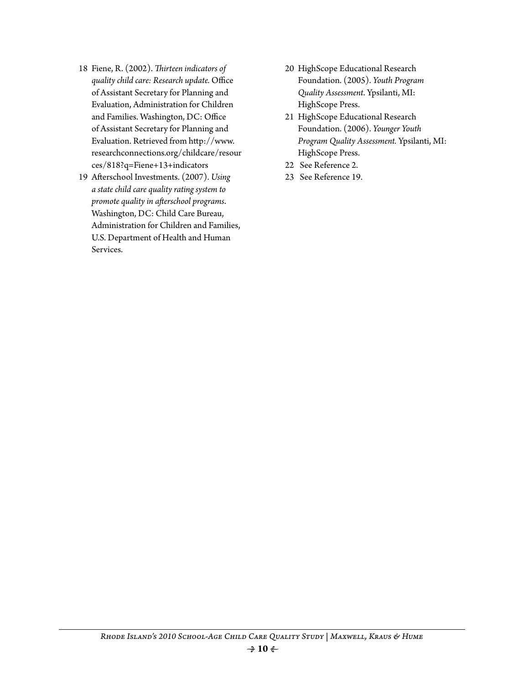- 18 Fiene, R. (2002). *Thirteen indicators of quality child care: Research update.* Office of Assistant Secretary for Planning and Evaluation, Administration for Children and Families. Washington, DC: Office of Assistant Secretary for Planning and Evaluation. Retrieved from http://www. researchconnections.org/childcare/resour ces/818?q=Fiene+13+indicators
- 19 Afterschool Investments. (2007). *Using a state child care quality rating system to promote quality in afterschool programs*. Washington, DC: Child Care Bureau, Administration for Children and Families, U.S. Department of Health and Human Services.
- 20 HighScope Educational Research Foundation. (2005). *Youth Program Quality Assessment*. Ypsilanti, MI: HighScope Press.
- 21 HighScope Educational Research Foundation. (2006). *Younger Youth Program Quality Assessment.* Ypsilanti, MI: HighScope Press.
- 22 See Reference 2.
- 23 See Reference 19.